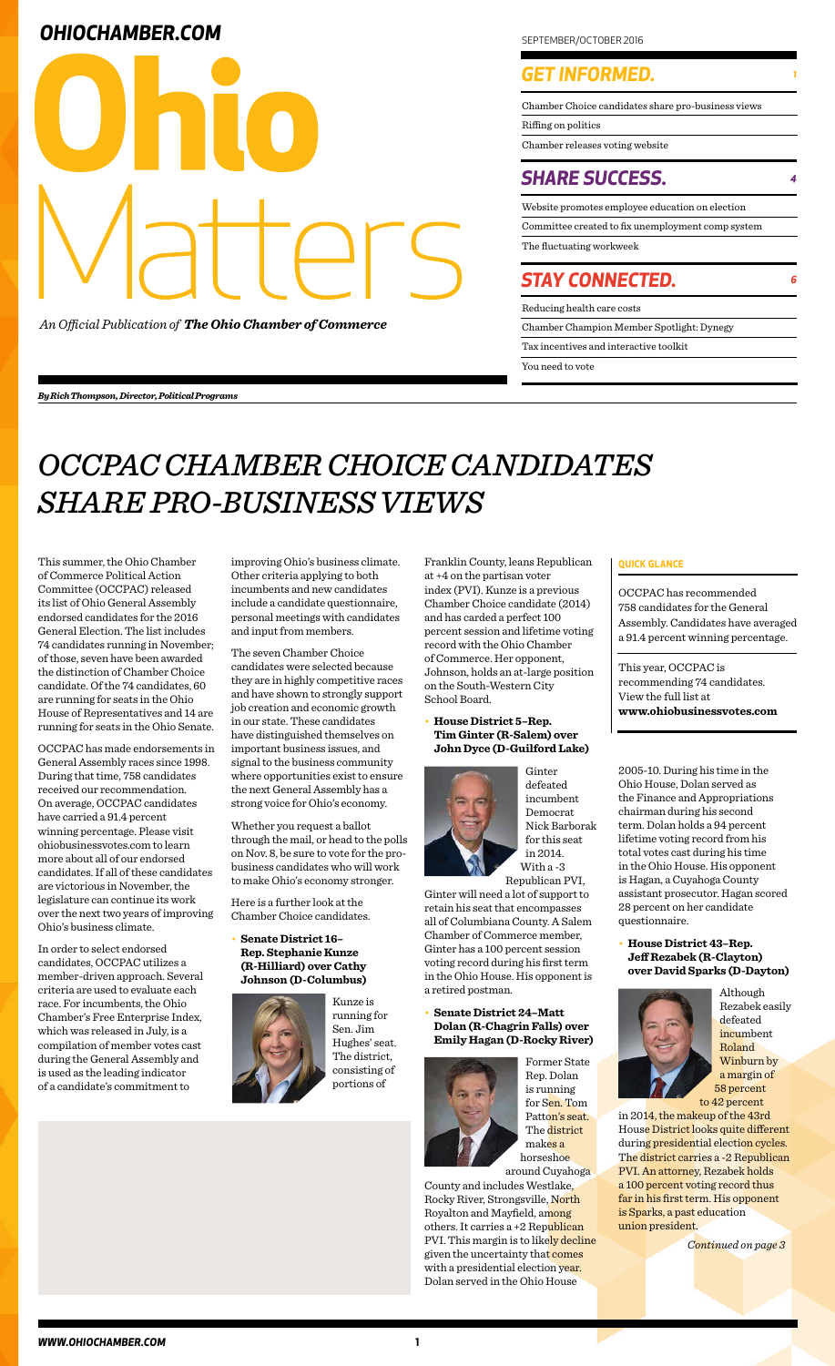|                     | Chamber Choice candidates share pro-business views |
|---------------------|----------------------------------------------------|
| Riffing on politics |                                                    |
|                     | Chamber releases voting website                    |
|                     | <b>SHARE SUCCESS.</b>                              |
|                     | Website promotes employee education on election    |
|                     | Committee created to fix unemployment comp system  |
|                     |                                                    |
|                     | The fluctuating workweek                           |
|                     | <b>STAY CONNECTED.</b>                             |
|                     | Reducing health care costs                         |

### **OHIOCHAMBER.COM**



*An Official Publication of The Ohio Chamber of Commerce*

## *OCCPAC CHAMBER CHOICE CANDIDATES SHARE PRO-BUSINESS VIEWS*

This summer, the Ohio Chamber of Commerce Political Action Committee (OCCPAC) released its list of Ohio General Assembly endorsed candidates for the 2016 General Election. The list includes 74 candidates running in November; of those, seven have been awarded the distinction of Chamber Choice candidate. Of the 74 candidates, 60 are running for seats in the Ohio House of Representatives and 14 are running for seats in the Ohio Senate.

OCCPAC has made endorsements in General Assembly races since 1998. During that time, 758 candidates received our recommendation. On average, OCCPAC candidates have carried a 91.4 percent winning percentage. Please visit ohiobusinessvotes.com to learn more about all of our endorsed candidates. If all of these candidates are victorious in November, the legislature can continue its work over the next two years of improving Ohio's business climate.

improving Ohio's business climate. Franklin County, leans Republican | QUICK GLANCE at +4 on the partisan voter index (PVI). Kunze is a previous Chamber Choice candidate (2014) and has carded a perfect 100 percent session and lifetime voting record with the Ohio Chamber of Commerce. Her opponent, Johnson, holds an at-large position on the South-Western City School Board.

In order to select endorsed candidates, OCCPAC utilizes a member-driven approach. Several criteria are used to evaluate each race. For incumbents, the Ohio Chamber's Free Enterprise Index, which was released in July, is a compilation of member votes cast during the General Assembly and is used as the leading indicator of a candidate's commitment to

Other criteria applying to both incumbents and new candidates include a candidate questionnaire, personal meetings with candidates and input from members.

The seven Chamber Choice candidates were selected because they are in highly competitive races and have shown to strongly support job creation and economic growth in our state. These candidates have distinguished themselves on important business issues, and signal to the business community where opportunities exist to ensure the next General Assembly has a strong voice for Ohio's economy.

Whether you request a ballot through the mail, or head to the polls on Nov. 8, be sure to vote for the probusiness candidates who will work to make Ohio's economy stronger.

Here is a further look at the Chamber Choice candidates.

• **Senate District 16–**

#### **Rep. Stephanie Kunze (R-Hilliard) over Cathy Johnson (D-Columbus)**



Kunze is running for Sen. Jim Hughes' seat. The district, consisting of portions of

#### • **House District 5–Rep. Tim Ginter (R-Salem) over John Dyce (D-Guilford Lake)**



Ginter defeated incumbent Democrat Nick Barborak for this seat in 2014. With a -3

Republican PVI, Ginter will need a lot of support to retain his seat that encompasses all of Columbiana County. A Salem Chamber of Commerce member, Ginter has a 100 percent session voting record during his first term in the Ohio House. His opponent is a retired postman.

• **Senate District 24–Matt Dolan (R-Chagrin Falls) over Emily Hagan (D-Rocky River)**



Former State Rep. Dolan is running for Sen. Tom Patton's seat. The district makes a horseshoe around Cuyahoga

County and includes Westlake, Rocky River, Strongsville, North Royalton and Mayfield, among others. It carries a +2 Republican PVI. This margin is to likely decline given the uncertainty that comes with a presidential election year. Dolan served in the Ohio House

OCCPAC has recommended 758 candidates for the General Assembly. Candidates have averaged a 91.4 percent winning percentage.

This year, OCCPAC is recommending 74 candidates. View the full list at **www.ohiobusinessvotes.com**

2005-10. During his time in the Ohio House, Dolan served as the Finance and Appropriations chairman during his second term. Dolan holds a 94 percent lifetime voting record from his total votes cast during his time in the Ohio House. His opponent is Hagan, a Cuyahoga County assistant prosecutor. Hagan scored 28 percent on her candidate questionnaire.

• **House District 43–Rep.** 

**Jeff Rezabek (R-Clayton) over David Sparks (D-Dayton)**



Although Rezabek easily defeated incumbent Roland Winburn by a margin of 58 percent to 42 percent

in 2014, the makeup of the 43rd House District looks quite different during presidential election cycles. The district carries a -2 Republican PVI. An attorney, Rezabek holds a 100 percent voting record thus far in his first term. His opponent is Sparks, a past education union president.

*Continued on page 3*

*By Rich Thompson, Director, Political Programs*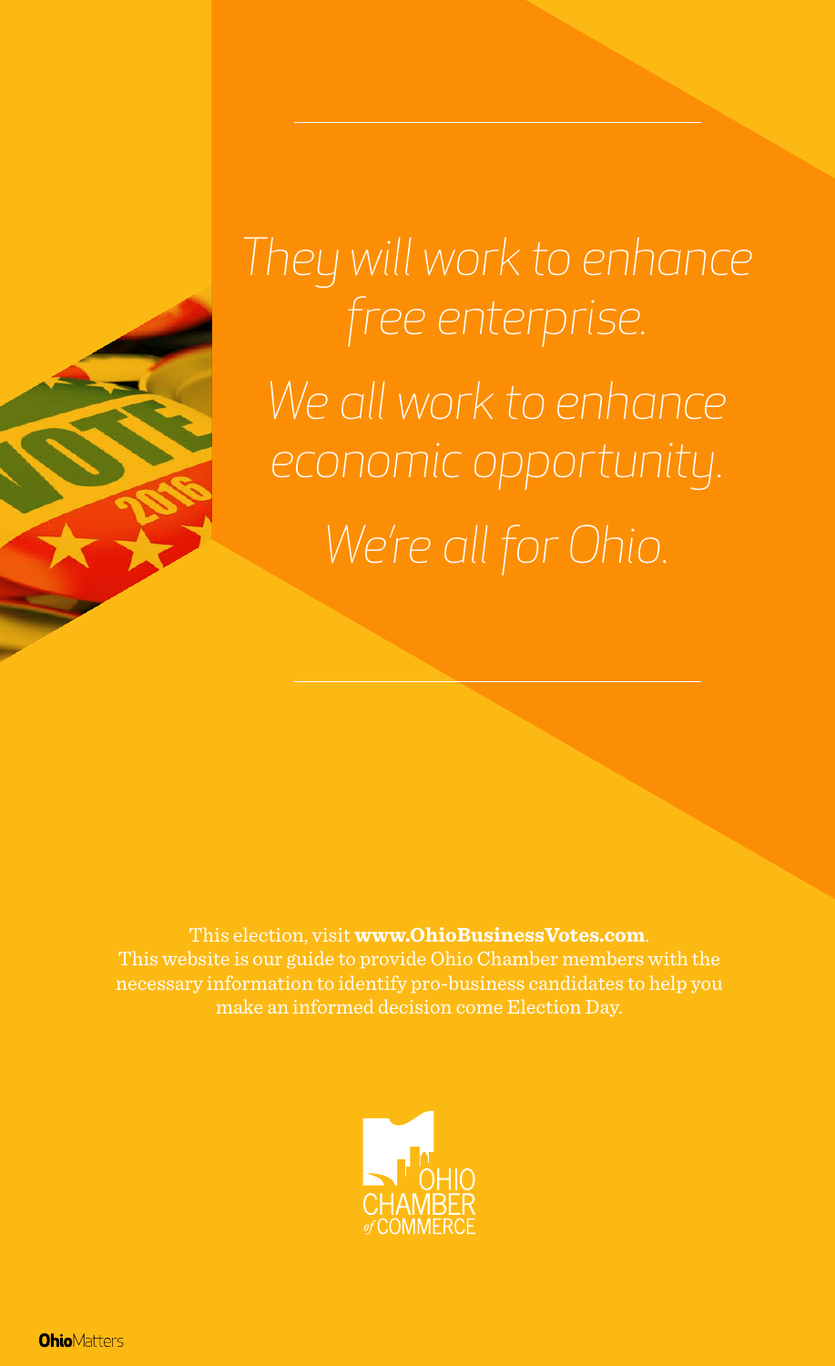*They will work to enhance free enterprise. We all work to enhance economic opportunity. We're all for Ohio.*

This election, visit **www.OhioBusinessVotes.com**.

This website is our guide to provide Ohio Chamber members with the necessary information to identify pro-business candidates to help you make an informed decision come Election Day.



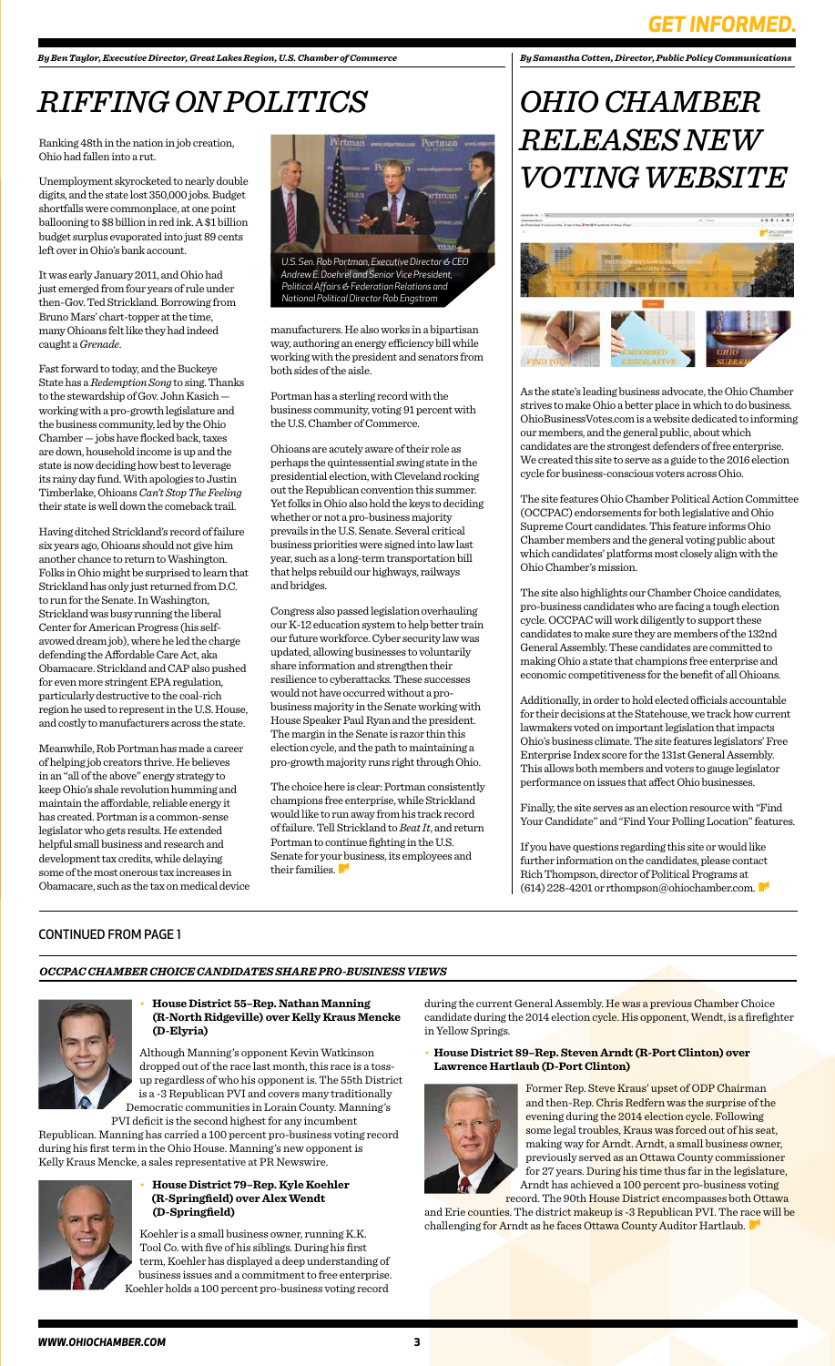### *GET INFORMED.*

• **House District 55–Rep. Nathan Manning (R-North Ridgeville) over Kelly Kraus Mencke (D-Elyria)**

Although Manning's opponent Kevin Watkinson dropped out of the race last month, this race is a tossup regardless of who his opponent is. The 55th District is a -3 Republican PVI and covers many traditionally Democratic communities in Lorain County. Manning's

PVI deficit is the second highest for any incumbent Republican. Manning has carried a 100 percent pro-business voting record during his first term in the Ohio House. Manning's new opponent is Kelly Kraus Mencke, a sales representative at PR Newswire.



during the current General Assembly. He was a previous Chamber Choice candidate during the 2014 election cycle. His opponent, Wendt, is a firefighter in Yellow Springs.

• **House District 79–Rep. Kyle Koehler (R-Springfield) over Alex Wendt (D-Springfield)**

Koehler is a small business owner, running K.K. Tool Co. with five of his siblings. During his first term, Koehler has displayed a deep understanding of business issues and a commitment to free enterprise. Koehler holds a 100 percent pro-business voting record



#### • **House District 89–Rep. Steven Arndt (R-Port Clinton) over Lawrence Hartlaub (D-Port Clinton)**



Former Rep. Steve Kraus' upset of ODP Chairman and then-Rep. Chris Redfern was the surprise of the evening during the 2014 election cycle. Following some legal troubles, Kraus was forced out of his seat, making way for Arndt. Arndt, a small business owner, previously served as an Ottawa County commissioner for 27 years. During his time thus far in the legislature, Arndt has achieved a 100 percent pro-business voting record. The 90th House District encompasses both Ottawa

and Erie counties. The district makeup is -3 Republican PVI. The race will be challenging for Arndt as he faces Ottawa County Auditor Hartlaub.

Ranking 48th in the nation in job creation, Ohio had fallen into a rut.

Unemployment skyrocketed to nearly double digits, and the state lost 350,000 jobs. Budget shortfalls were commonplace, at one point ballooning to \$8 billion in red ink. A \$1 billion budget surplus evaporated into just 89 cents left over in Ohio's bank account.

It was early January 2011, and Ohio had just emerged from four years of rule under then-Gov. Ted Strickland. Borrowing from Bruno Mars' chart-topper at the time, many Ohioans felt like they had indeed caught a *Grenade*.

Fast forward to today, and the Buckeye State has a *Redemption Song* to sing. Thanks to the stewardship of Gov. John Kasich working with a pro-growth legislature and the business community, led by the Ohio Chamber — jobs have flocked back, taxes are down, household income is up and the state is now deciding how best to leverage its rainy day fund. With apologies to Justin Timberlake, Ohioans *Can't Stop The Feeling* their state is well down the comeback trail.

> If you have questions regarding this site or would like further information on the candidates, please contact Rich Thompson, director of Political Programs at (614) 228-4201 or rthompson@ohiochamber.com.

Having ditched Strickland's record of failure six years ago, Ohioans should not give him another chance to return to Washington. Folks in Ohio might be surprised to learn that Strickland has only just returned from D.C. to run for the Senate. In Washington, Strickland was busy running the liberal Center for American Progress (his selfavowed dream job), where he led the charge defending the Affordable Care Act, aka Obamacare. Strickland and CAP also pushed for even more stringent EPA regulation, particularly destructive to the coal-rich region he used to represent in the U.S. House, and costly to manufacturers across the state.

> The choice here is clear: Portman consistently champions free enterprise, while Strickland would like to run away from his track record of failure. Tell Strickland to *Beat It*, and return Portman to continue fighting in the U.S. Senate for your business, its employees and their families.

Meanwhile, Rob Portman has made a career of helping job creators thrive. He believes in an "all of the above" energy strategy to keep Ohio's shale revolution humming and maintain the affordable, reliable energy it has created. Portman is a common-sense legislator who gets results. He extended helpful small business and research and development tax credits, while delaying some of the most onerous tax increases in Obamacare, such as the tax on medical device *By Samantha Cotten, Director, Public Policy Communications*

As the state's leading business advocate, the Ohio Chamber strives to make Ohio a better place in which to do business. OhioBusinessVotes.com is a website dedicated to informing our members, and the general public, about which candidates are the strongest defenders of free enterprise. We created this site to serve as a guide to the 2016 election cycle for business-conscious voters across Ohio.

The site features Ohio Chamber Political Action Committee (OCCPAC) endorsements for both legislative and Ohio Supreme Court candidates. This feature informs Ohio Chamber members and the general voting public about which candidates' platforms most closely align with the Ohio Chamber's mission.

The site also highlights our Chamber Choice candidates, pro-business candidates who are facing a tough election cycle. OCCPAC will work diligently to support these candidates to make sure they are members of the 132nd General Assembly. These candidates are committed to making Ohio a state that champions free enterprise and economic competitiveness for the benefit of all Ohioans.

Additionally, in order to hold elected officials accountable for their decisions at the Statehouse, we track how current lawmakers voted on important legislation that impacts Ohio's business climate. The site features legislators' Free Enterprise Index score for the 131st General Assembly. This allows both members and voters to gauge legislator performance on issues that affect Ohio businesses.

Finally, the site serves as an election resource with "Find Your Candidate" and "Find Your Polling Location" features.

## *OHIO CHAMBER RELEASES NEW VOTING WEBSITE*



# *RIFFING ON POLITICS*

manufacturers. He also works in a bipartisan way, authoring an energy efficiency bill while working with the president and senators from both sides of the aisle.

Portman has a sterling record with the business community, voting 91 percent with the U.S. Chamber of Commerce.

Ohioans are acutely aware of their role as perhaps the quintessential swing state in the presidential election, with Cleveland rocking out the Republican convention this summer. Yet folks in Ohio also hold the keys to deciding whether or not a pro-business majority prevails in the U.S. Senate. Several critical business priorities were signed into law last year, such as a long-term transportation bill that helps rebuild our highways, railways and bridges.

Congress also passed legislation overhauling our K-12 education system to help better train our future workforce. Cyber security law was updated, allowing businesses to voluntarily share information and strengthen their resilience to cyberattacks. These successes would not have occurred without a probusiness majority in the Senate working with House Speaker Paul Ryan and the president. The margin in the Senate is razor thin this election cycle, and the path to maintaining a pro-growth majority runs right through Ohio.

*By Ben Taylor, Executive Director, Great Lakes Region, U.S. Chamber of Commerce*



*U.S. Sen. Rob Portman, Executive Director & CEO Andrew E. Doehrel and Senior Vice President, Political Affairs & Federation Relations and National Political Director Rob Engstrom*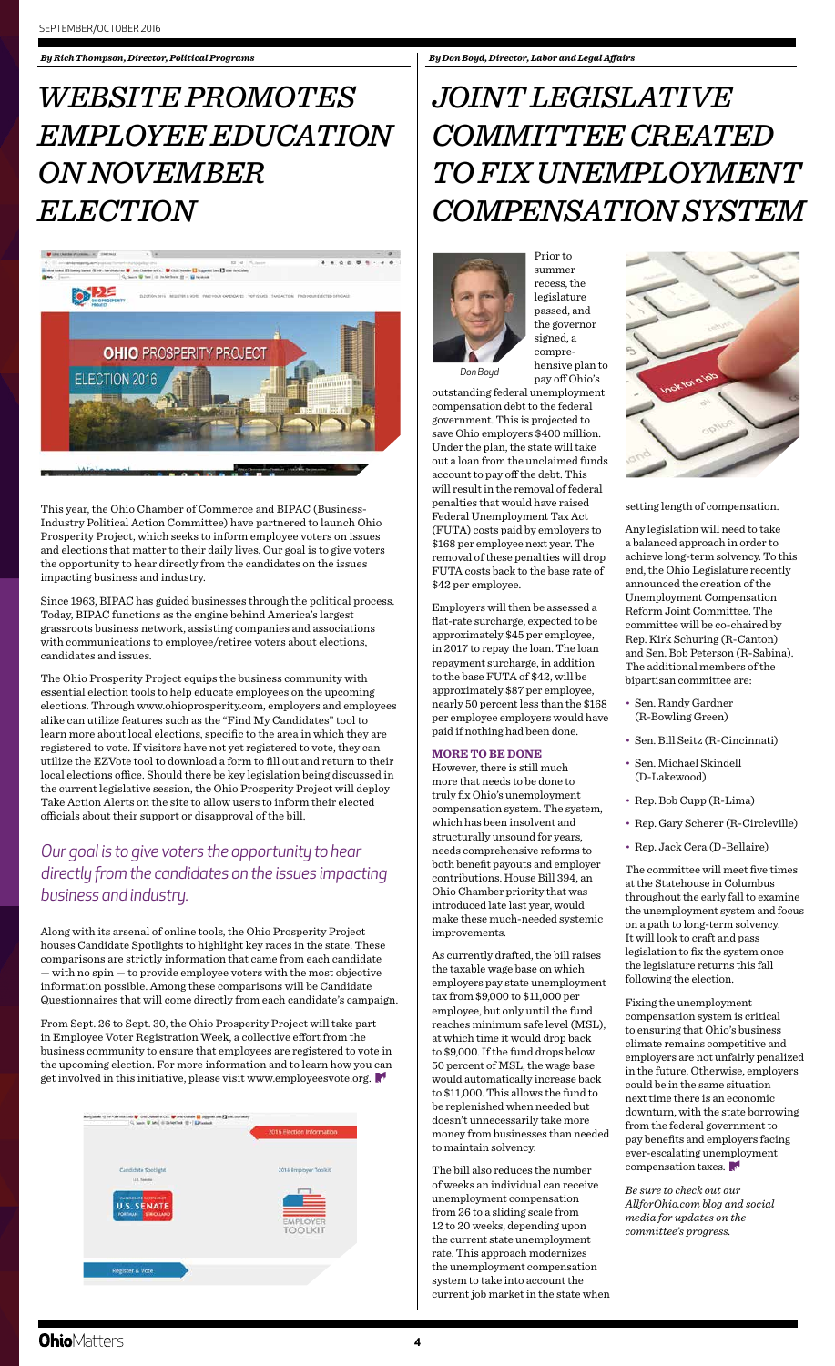This year, the Ohio Chamber of Commerce and BIPAC (Business-Industry Political Action Committee) have partnered to launch Ohio Prosperity Project, which seeks to inform employee voters on issues and elections that matter to their daily lives. Our goal is to give voters the opportunity to hear directly from the candidates on the issues impacting business and industry.

Since 1963, BIPAC has guided businesses through the political process. Today, BIPAC functions as the engine behind America's largest grassroots business network, assisting companies and associations with communications to employee/retiree voters about elections, candidates and issues.

The Ohio Prosperity Project equips the business community with essential election tools to help educate employees on the upcoming elections. Through www.ohioprosperity.com, employers and employees alike can utilize features such as the "Find My Candidates" tool to learn more about local elections, specific to the area in which they are registered to vote. If visitors have not yet registered to vote, they can utilize the EZVote tool to download a form to fill out and return to their local elections office. Should there be key legislation being discussed in the current legislative session, the Ohio Prosperity Project will deploy Take Action Alerts on the site to allow users to inform their elected officials about their support or disapproval of the bill.

Along with its arsenal of online tools, the Ohio Prosperity Project houses Candidate Spotlights to highlight key races in the state. These comparisons are strictly information that came from each candidate — with no spin — to provide employee voters with the most objective information possible. Among these comparisons will be Candidate Questionnaires that will come directly from each candidate's campaign.

From Sept. 26 to Sept. 30, the Ohio Prosperity Project will take part in Employee Voter Registration Week, a collective effort from the business community to ensure that employees are registered to vote in the upcoming election. For more information and to learn how you can get involved in this initiative, please visit www.employeesvote.org.



*By Rich Thompson, Director, Political Programs*

Prior to

summer recess, the legislature passed, and the governor signed, a comprehensive plan to pay off Ohio's

outstanding federal unemployment compensation debt to the federal government. This is projected to save Ohio employers \$400 million. Under the plan, the state will take out a loan from the unclaimed funds account to pay off the debt. This will result in the removal of federal penalties that would have raised Federal Unemployment Tax Act (FUTA) costs paid by employers to \$168 per employee next year. The removal of these penalties will drop FUTA costs back to the base rate of \$42 per employee.

Employers will then be assessed a flat-rate surcharge, expected to be approximately \$45 per employee, in 2017 to repay the loan. The loan repayment surcharge, in addition to the base FUTA of \$42, will be approximately \$87 per employee, nearly 50 percent less than the \$168 per employee employers would have paid if nothing had been done.

#### **MORE TO BE DONE**

However, there is still much more that needs to be done to truly fix Ohio's unemployment compensation system. The system, which has been insolvent and structurally unsound for years, needs comprehensive reforms to both benefit payouts and employer contributions. House Bill 394, an Ohio Chamber priority that was introduced late last year, would make these much-needed systemic improvements.



As currently drafted, the bill raises the taxable wage base on which employers pay state unemployment tax from \$9,000 to \$11,000 per employee, but only until the fund reaches minimum safe level (MSL), at which time it would drop back to \$9,000. If the fund drops below 50 percent of MSL, the wage base would automatically increase back to \$11,000. This allows the fund to be replenished when needed but doesn't unnecessarily take more money from businesses than needed to maintain solvency.

The bill also reduces the number of weeks an individual can receive unemployment compensation from 26 to a sliding scale from 12 to 20 weeks, depending upon the current state unemployment rate. This approach modernizes the unemployment compensation system to take into account the current job market in the state when

## *JOINT LEGISLATIVE COMMITTEE CREATED TO FIX UNEMPLOYMENT COMPENSATION SYSTEM*

setting length of compensation.

Any legislation will need to take a balanced approach in order to achieve long-term solvency. To this end, the Ohio Legislature recently announced the creation of the Unemployment Compensation Reform Joint Committee. The committee will be co-chaired by Rep. Kirk Schuring (R-Canton) and Sen. Bob Peterson (R-Sabina). The additional members of the bipartisan committee are:

- Sen. Randy Gardner (R-Bowling Green)
- Sen. Bill Seitz (R-Cincinnati)
- Sen. Michael Skindell (D-Lakewood)
- Rep. Bob Cupp (R-Lima)
- Rep. Gary Scherer (R-Circleville)
- Rep. Jack Cera (D-Bellaire)

The committee will meet five times at the Statehouse in Columbus throughout the early fall to examine the unemployment system and focus on a path to long-term solvency. It will look to craft and pass legislation to fix the system once the legislature returns this fall following the election.

Fixing the unemployment compensation system is critical to ensuring that Ohio's business climate remains competitive and employers are not unfairly penalized in the future. Otherwise, employers could be in the same situation next time there is an economic downturn, with the state borrowing from the federal government to pay benefits and employers facing ever-escalating unemployment compensation taxes.

*Be sure to check out our AllforOhio.com blog and social media for updates on the committee's progress.*

### **Ohio**Matters

## *WEBSITE PROMOTES EMPLOYEE EDUCATION ON NOVEMBER ELECTION*



### *Our goal is to give voters the opportunity to hear directly from the candidates on the issues impacting business and industry.*

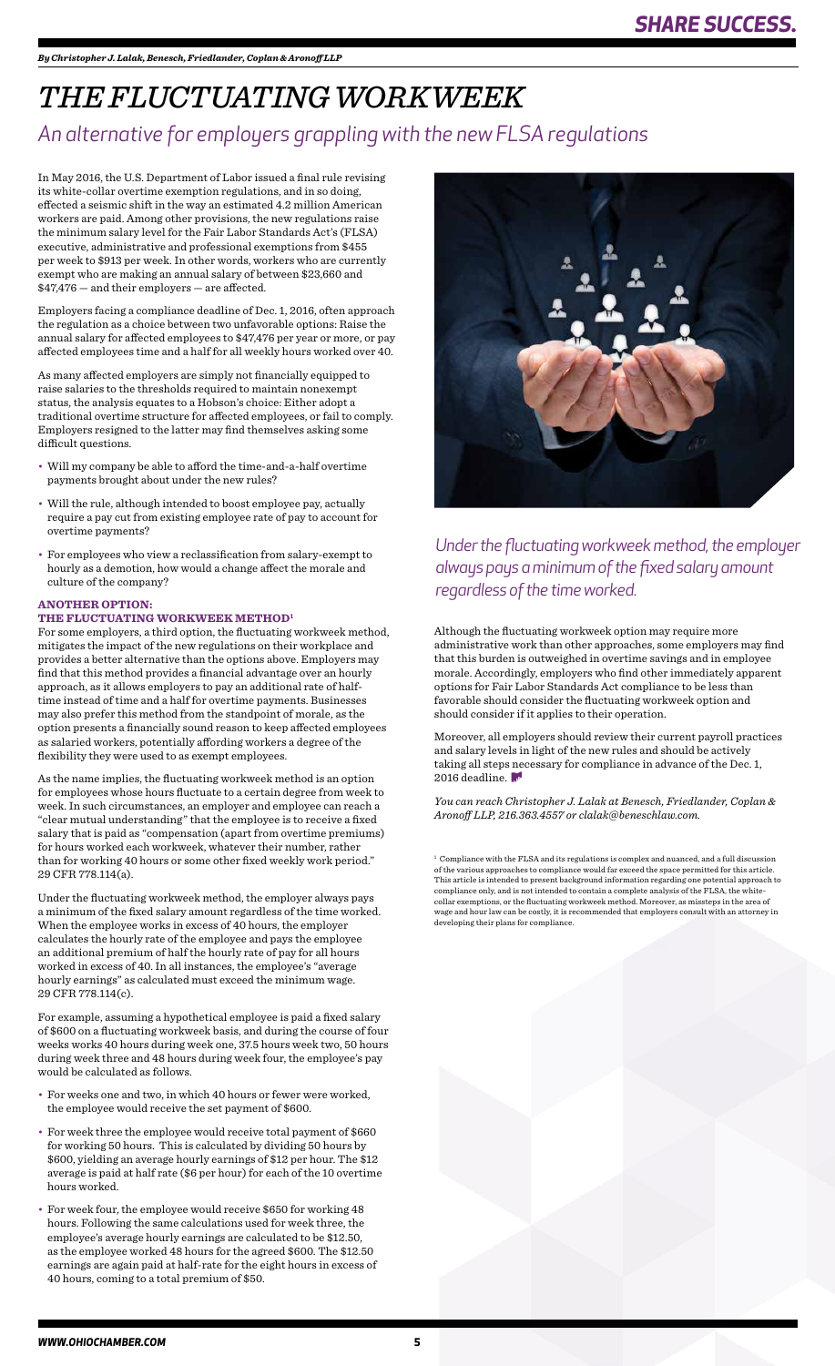*By Christopher J. Lalak, Benesch, Friedlander, Coplan & Aronoff LLP*

In May 2016, the U.S. Department of Labor issued a final rule revising its white-collar overtime exemption regulations, and in so doing, effected a seismic shift in the way an estimated 4.2 million American workers are paid. Among other provisions, the new regulations raise the minimum salary level for the Fair Labor Standards Act's (FLSA) executive, administrative and professional exemptions from \$455 per week to \$913 per week. In other words, workers who are currently exempt who are making an annual salary of between \$23,660 and \$47,476 — and their employers — are affected.

Employers facing a compliance deadline of Dec. 1, 2016, often approach the regulation as a choice between two unfavorable options: Raise the annual salary for affected employees to \$47,476 per year or more, or pay affected employees time and a half for all weekly hours worked over 40.

As many affected employers are simply not financially equipped to raise salaries to the thresholds required to maintain nonexempt status, the analysis equates to a Hobson's choice: Either adopt a traditional overtime structure for affected employees, or fail to comply. Employers resigned to the latter may find themselves asking some difficult questions.

- Will my company be able to afford the time-and-a-half overtime payments brought about under the new rules?
- Will the rule, although intended to boost employee pay, actually require a pay cut from existing employee rate of pay to account for overtime payments?
- For employees who view a reclassification from salary-exempt to hourly as a demotion, how would a change affect the morale and culture of the company?

#### **ANOTHER OPTION:**

#### **THE FLUCTUATING WORKWEEK METHOD1**

For some employers, a third option, the fluctuating workweek method, mitigates the impact of the new regulations on their workplace and provides a better alternative than the options above. Employers may find that this method provides a financial advantage over an hourly approach, as it allows employers to pay an additional rate of halftime instead of time and a half for overtime payments. Businesses may also prefer this method from the standpoint of morale, as the option presents a financially sound reason to keep affected employees as salaried workers, potentially affording workers a degree of the flexibility they were used to as exempt employees.

Moreover, all employers should review their current payroll practices and salary levels in light of the new rules and should be actively taking all steps necessary for compliance in advance of the Dec. 1, 2016 deadline.

As the name implies, the fluctuating workweek method is an option for employees whose hours fluctuate to a certain degree from week to week. In such circumstances, an employer and employee can reach a "clear mutual understanding" that the employee is to receive a fixed salary that is paid as "compensation (apart from overtime premiums) for hours worked each workweek, whatever their number, rather than for working 40 hours or some other fixed weekly work period." 29 CFR 778.114(a).

Under the fluctuating workweek method, the employer always pays a minimum of the fixed salary amount regardless of the time worked. When the employee works in excess of 40 hours, the employer calculates the hourly rate of the employee and pays the employee an additional premium of half the hourly rate of pay for all hours worked in excess of 40. In all instances, the employee's "average hourly earnings" as calculated must exceed the minimum wage. 29 CFR 778.114(c).



For example, assuming a hypothetical employee is paid a fixed salary of \$600 on a fluctuating workweek basis, and during the course of four weeks works 40 hours during week one, 37.5 hours week two, 50 hours during week three and 48 hours during week four, the employee's pay would be calculated as follows.

- For weeks one and two, in which 40 hours or fewer were worked, the employee would receive the set payment of \$600.
- For week three the employee would receive total payment of \$660 for working 50 hours. This is calculated by dividing 50 hours by \$600, yielding an average hourly earnings of \$12 per hour. The \$12 average is paid at half rate (\$6 per hour) for each of the 10 overtime hours worked.
- For week four, the employee would receive \$650 for working 48 hours. Following the same calculations used for week three, the employee's average hourly earnings are calculated to be \$12.50, as the employee worked 48 hours for the agreed \$600. The \$12.50 earnings are again paid at half-rate for the eight hours in excess of 40 hours, coming to a total premium of \$50.

## *THE FLUCTUATING WORKWEEK*

Although the fluctuating workweek option may require more administrative work than other approaches, some employers may find that this burden is outweighed in overtime savings and in employee morale. Accordingly, employers who find other immediately apparent options for Fair Labor Standards Act compliance to be less than favorable should consider the fluctuating workweek option and should consider if it applies to their operation.

*You can reach Christopher J. Lalak at Benesch, Friedlander, Coplan & Aronoff LLP, 216.363.4557 or clalak@beneschlaw.com.*

### *An alternative for employers grappling with the new FLSA regulations*

*Under the fluctuating workweek method, the employer always pays a minimum of the fixed salary amount regardless of the time worked.* 

<sup>1</sup> Compliance with the FLSA and its regulations is complex and nuanced, and a full discussion of the various approaches to compliance would far exceed the space permitted for this article. This article is intended to present background information regarding one potential approach to compliance only, and is not intended to contain a complete analysis of the FLSA, the whitecollar exemptions, or the fluctuating workweek method. Moreover, as missteps in the area of wage and hour law can be costly, it is recommended that employers consult with an attorney in developing their plans for compliance.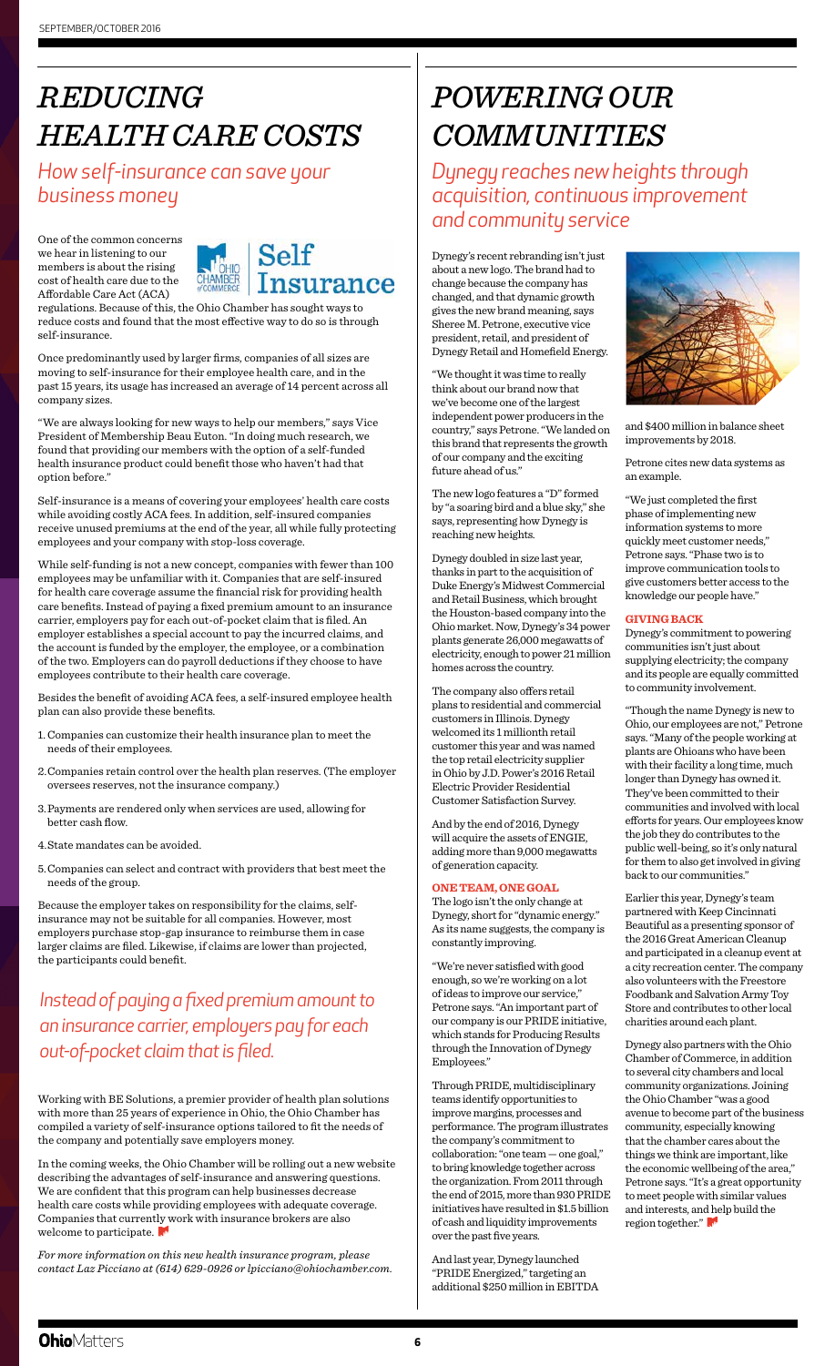One of the common concerns we hear in listening to our members is about the rising cost of health care due to the Affordable Care Act (ACA)

### Self **Insurance** HAMBER

regulations. Because of this, the Ohio Chamber has sought ways to reduce costs and found that the most effective way to do so is through self-insurance.

Once predominantly used by larger firms, companies of all sizes are moving to self-insurance for their employee health care, and in the past 15 years, its usage has increased an average of 14 percent across all company sizes.

"We are always looking for new ways to help our members," says Vice President of Membership Beau Euton. "In doing much research, we found that providing our members with the option of a self-funded health insurance product could benefit those who haven't had that option before."

Self-insurance is a means of covering your employees' health care costs while avoiding costly ACA fees. In addition, self-insured companies receive unused premiums at the end of the year, all while fully protecting employees and your company with stop-loss coverage.

In the coming weeks, the Ohio Chamber will be rolling out a new website describing the advantages of self-insurance and answering questions. We are confident that this program can help businesses decrease health care costs while providing employees with adequate coverage. Companies that currently work with insurance brokers are also welcome to participate.

While self-funding is not a new concept, companies with fewer than 100 employees may be unfamiliar with it. Companies that are self-insured for health care coverage assume the financial risk for providing health care benefits. Instead of paying a fixed premium amount to an insurance carrier, employers pay for each out-of-pocket claim that is filed. An employer establishes a special account to pay the incurred claims, and the account is funded by the employer, the employee, or a combination of the two. Employers can do payroll deductions if they choose to have employees contribute to their health care coverage.

Besides the benefit of avoiding ACA fees, a self-insured employee health plan can also provide these benefits.

- 1.Companies can customize their health insurance plan to meet the needs of their employees.
- 2.Companies retain control over the health plan reserves. (The employer oversees reserves, not the insurance company.)
- 3.Payments are rendered only when services are used, allowing for better cash flow.
- 4.State mandates can be avoided.
- 5.Companies can select and contract with providers that best meet the needs of the group.

Because the employer takes on responsibility for the claims, selfinsurance may not be suitable for all companies. However, most employers purchase stop-gap insurance to reimburse them in case larger claims are filed. Likewise, if claims are lower than projected, the participants could benefit.

Working with BE Solutions, a premier provider of health plan solutions with more than 25 years of experience in Ohio, the Ohio Chamber has compiled a variety of self-insurance options tailored to fit the needs of the company and potentially save employers money.

*For more information on this new health insurance program, please contact Laz Picciano at (614) 629-0926 or lpicciano@ohiochamber.com.*

# *REDUCING HEALTH CARE COSTS*

*How self-insurance can save your business money*

### *Instead of paying a fixed premium amount to an insurance carrier, employers pay for each out-of-pocket claim that is filed.*

Dynegy's recent rebranding isn't just about a new logo. The brand had to change because the company has changed, and that dynamic growth gives the new brand meaning, says Sheree M. Petrone, executive vice president, retail, and president of Dynegy Retail and Homefield Energy.

"We thought it was time to really think about our brand now that we've become one of the largest independent power producers in the country," says Petrone. "We landed on this brand that represents the growth of our company and the exciting future ahead of us."

The new logo features a "D" formed by "a soaring bird and a blue sky," she says, representing how Dynegy is reaching new heights.

Dynegy doubled in size last year, thanks in part to the acquisition of Duke Energy's Midwest Commercial and Retail Business, which brought the Houston-based company into the Ohio market. Now, Dynegy's 34 power plants generate 26,000 megawatts of electricity, enough to power 21 million homes across the country.

The company also offers retail plans to residential and commercial customers in Illinois. Dynegy welcomed its 1 millionth retail customer this year and was named the top retail electricity supplier in Ohio by J.D. Power's 2016 Retail Electric Provider Residential Customer Satisfaction Survey.

And by the end of 2016, Dynegy will acquire the assets of ENGIE, adding more than 9,000 megawatts of generation capacity.

#### **ONE TEAM, ONE GOAL**

The logo isn't the only change at Dynegy, short for "dynamic energy." As its name suggests, the company is constantly improving.



"We're never satisfied with good enough, so we're working on a lot of ideas to improve our service," Petrone says. "An important part of our company is our PRIDE initiative, which stands for Producing Results through the Innovation of Dynegy Employees."

Through PRIDE, multidisciplinary teams identify opportunities to improve margins, processes and performance. The program illustrates the company's commitment to collaboration: "one team — one goal," to bring knowledge together across the organization. From 2011 through the end of 2015, more than 930 PRIDE initiatives have resulted in \$1.5 billion of cash and liquidity improvements over the past five years.

And last year, Dynegy launched "PRIDE Energized," targeting an additional \$250 million in EBITDA

## *POWERING OUR COMMUNITIES*

and \$400 million in balance sheet improvements by 2018.

Petrone cites new data systems as an example.

"We just completed the first phase of implementing new information systems to more quickly meet customer needs," Petrone says. "Phase two is to improve communication tools to give customers better access to the knowledge our people have."

### **GIVING BACK**

Dynegy's commitment to powering communities isn't just about supplying electricity; the company and its people are equally committed to community involvement.

"Though the name Dynegy is new to Ohio, our employees are not," Petrone says. "Many of the people working at plants are Ohioans who have been with their facility a long time, much longer than Dynegy has owned it. They've been committed to their communities and involved with local efforts for years. Our employees know the job they do contributes to the public well-being, so it's only natural for them to also get involved in giving back to our communities."

Earlier this year, Dynegy's team partnered with Keep Cincinnati Beautiful as a presenting sponsor of the 2016 Great American Cleanup and participated in a cleanup event at a city recreation center. The company also volunteers with the Freestore Foodbank and Salvation Army Toy Store and contributes to other local charities around each plant.

Dynegy also partners with the Ohio Chamber of Commerce, in addition to several city chambers and local community organizations. Joining the Ohio Chamber "was a good avenue to become part of the business community, especially knowing that the chamber cares about the things we think are important, like the economic wellbeing of the area," Petrone says. "It's a great opportunity to meet people with similar values and interests, and help build the region together."

*Dynegy reaches new heights through acquisition, continuous improvement and community service*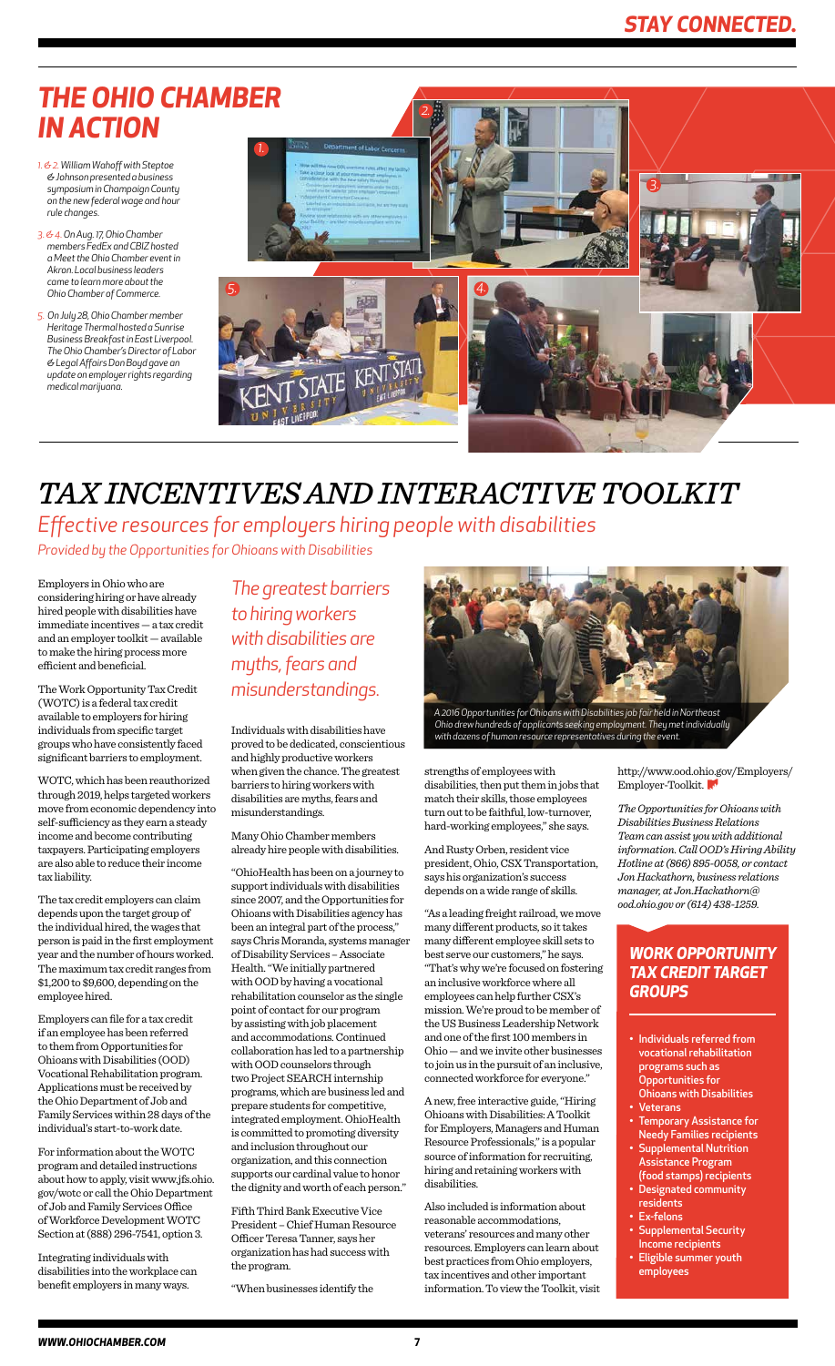## *THE OHIO CHAMBER IN ACTION*

- *1. & 2. William Wahoff with Steptoe & Johnson presented a business symposium in Champaign County on the new federal wage and hour rule changes.*
- *3. & 4. On Aug. 17, Ohio Chamber members FedEx and CBIZ hosted a Meet the Ohio Chamber event in Akron. Local business leaders came to learn more about the Ohio Chamber of Commerce.*
- *5. On July 28, Ohio Chamber member Heritage Thermal hosted a Sunrise Business Breakfast in East Liverpool. The Ohio Chamber's Director of Labor & Legal Affairs Don Boyd gave an update on employer rights regarding medical marijuana.*

Individuals with disabilities have proved to be dedicated, conscientious and highly productive workers when given the chance. The greatest barriers to hiring workers with disabilities are myths, fears and misunderstandings.

Many Ohio Chamber members already hire people with disabilities.

"OhioHealth has been on a journey to support individuals with disabilities since 2007, and the Opportunities for Ohioans with Disabilities agency has been an integral part of the process," says Chris Moranda, systems manager of Disability Services – Associate Health. "We initially partnered with OOD by having a vocational rehabilitation counselor as the single point of contact for our program by assisting with job placement and accommodations. Continued collaboration has led to a partnership with OOD counselors through two Project SEARCH internship programs, which are business led and prepare students for competitive, integrated employment. OhioHealth is committed to promoting diversity and inclusion throughout our organization, and this connection supports our cardinal value to honor the dignity and worth of each person."

Fifth Third Bank Executive Vice President – Chief Human Resource Officer Teresa Tanner, says her organization has had success with the program.

"When businesses identify the

## *TAX INCENTIVES AND INTERACTIVE TOOLKIT*

Employers in Ohio who are considering hiring or have already hired people with disabilities have immediate incentives — a tax credit and an employer toolkit — available to make the hiring process more efficient and beneficial.

The Work Opportunity Tax Credit (WOTC) is a federal tax credit available to employers for hiring individuals from specific target groups who have consistently faced significant barriers to employment.

WOTC, which has been reauthorized through 2019, helps targeted workers move from economic dependency into self-sufficiency as they earn a steady income and become contributing taxpayers. Participating employers are also able to reduce their income tax liability.

The tax credit employers can claim depends upon the target group of the individual hired, the wages that person is paid in the first employment year and the number of hours worked. The maximum tax credit ranges from \$1,200 to \$9,600, depending on the employee hired.

http://www.ood.ohio.gov/Employers/ Employer-Toolkit.

Employers can file for a tax credit if an employee has been referred to them from Opportunities for Ohioans with Disabilities (OOD) Vocational Rehabilitation program. Applications must be received by the Ohio Department of Job and Family Services within 28 days of the individual's start-to-work date.



For information about the WOTC program and detailed instructions about how to apply, visit www.jfs.ohio. gov/wotc or call the Ohio Department of Job and Family Services Office of Workforce Development WOTC Section at (888) 296-7541, option 3.

Integrating individuals with disabilities into the workplace can benefit employers in many ways.

*The greatest barriers to hiring workers with disabilities are myths, fears and misunderstandings.* 

> strengths of employees with disabilities, then put them in jobs that match their skills, those employees turn out to be faithful, low-turnover, hard-working employees," she says.

> And Rusty Orben, resident vice president, Ohio, CSX Transportation, says his organization's success depends on a wide range of skills.

"As a leading freight railroad, we move many different products, so it takes many different employee skill sets to best serve our customers," he says. "That's why we're focused on fostering an inclusive workforce where all employees can help further CSX's mission. We're proud to be member of the US Business Leadership Network and one of the first 100 members in Ohio — and we invite other businesses to join us in the pursuit of an inclusive, connected workforce for everyone."

A new, free interactive guide, "Hiring Ohioans with Disabilities: A Toolkit for Employers, Managers and Human Resource Professionals," is a popular source of information for recruiting, hiring and retaining workers with disabilities.

Also included is information about reasonable accommodations, veterans' resources and many other resources. Employers can learn about best practices from Ohio employers, tax incentives and other important information. To view the Toolkit, visit

*Effective resources for employers hiring people with disabilities*



*A 2016 Opportunities for Ohioans with Disabilities job fair held in Northeast Ohio drew hundreds of applicants seeking employment. They met individually with dozens of human resource representatives during the event.*

- Individuals referred from vocational rehabilitation programs such as Opportunities for Ohioans with Disabilities
- Veterans
- Temporary Assistance for Needy Families recipients
- Supplemental Nutrition Assistance Program (food stamps) recipients
- Designated community residents
- Ex-felons
- Supplemental Security Income recipients
- Eligible summer youth employees

### *WORK OPPORTUNITY TAX CREDIT TARGET GROUPS*

*The Opportunities for Ohioans with Disabilities Business Relations Team can assist you with additional information. Call OOD's Hiring Ability Hotline at (866) 895-0058, or contact Jon Hackathorn, business relations manager, at Jon.Hackathorn@ ood.ohio.gov or (614) 438-1259.*

*Provided by the Opportunities for Ohioans with Disabilities*